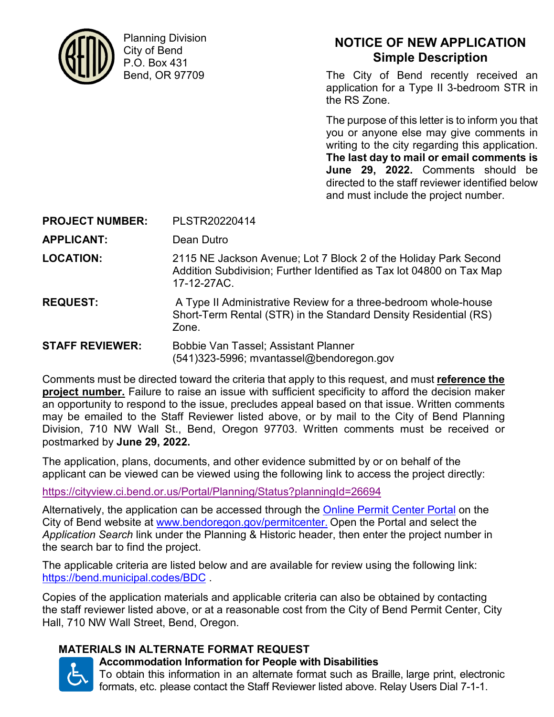

Planning Division City of Bend P.O. Box 431 Bend, OR 97709

### **NOTICE OF NEW APPLICATION Simple Description**

The City of Bend recently received an application for a Type II 3-bedroom STR in the RS Zone.

The purpose of this letter is to inform you that you or anyone else may give comments in writing to the city regarding this application. **The last day to mail or email comments is June 29, 2022.** Comments should be directed to the staff reviewer identified below and must include the project number.

**PROJECT NUMBER:** PLSTR20220414

**APPLICANT:** Dean Dutro

**LOCATION:** 2115 NE Jackson Avenue; Lot 7 Block 2 of the Holiday Park Second Addition Subdivision; Further Identified as Tax lot 04800 on Tax Map 17-12-27AC.

**REQUEST:** A Type II Administrative Review for a three-bedroom whole-house Short-Term Rental (STR) in the Standard Density Residential (RS) Zone.

**STAFF REVIEWER:** Bobbie Van Tassel; Assistant Planner (541)323-5996; mvantassel@bendoregon.gov

Comments must be directed toward the criteria that apply to this request, and must **reference the project number.** Failure to raise an issue with sufficient specificity to afford the decision maker an opportunity to respond to the issue, precludes appeal based on that issue. Written comments may be emailed to the Staff Reviewer listed above, or by mail to the City of Bend Planning Division, 710 NW Wall St., Bend, Oregon 97703. Written comments must be received or postmarked by **June 29, 2022.**

The application, plans, documents, and other evidence submitted by or on behalf of the applicant can be viewed can be viewed using the following link to access the project directly:

https://cityview.ci.bend.or.us/Portal/Planning/Status?planningId=26694

Alternatively, the application can be accessed through the Online Permit Center Portal on the City of Bend website at www.bendoregon.gov/permitcenter. Open the Portal and select the *Application Search* link under the Planning & Historic header, then enter the project number in the search bar to find the project.

The applicable criteria are listed below and are available for review using the following link: https://bend.municipal.codes/BDC .

Copies of the application materials and applicable criteria can also be obtained by contacting the staff reviewer listed above, or at a reasonable cost from the City of Bend Permit Center, City Hall, 710 NW Wall Street, Bend, Oregon.

#### **MATERIALS IN ALTERNATE FORMAT REQUEST**



# **Accommodation Information for People with Disabilities**

To obtain this information in an alternate format such as Braille, large print, electronic formats, etc. please contact the Staff Reviewer listed above. Relay Users Dial 7-1-1.